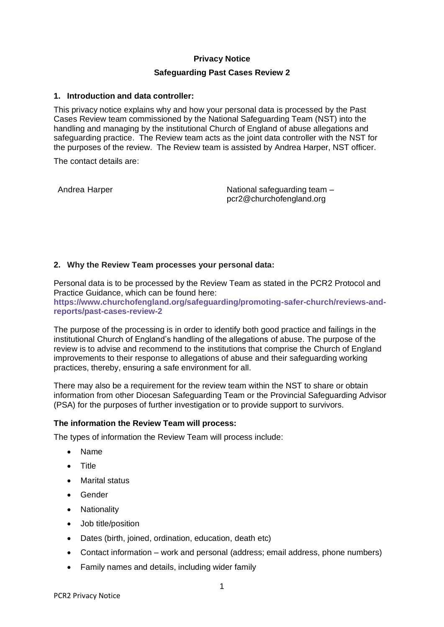# **Privacy Notice**

### **Safeguarding Past Cases Review 2**

### **1. Introduction and data controller:**

This privacy notice explains why and how your personal data is processed by the Past Cases Review team commissioned by the National Safeguarding Team (NST) into the handling and managing by the institutional Church of England of abuse allegations and safeguarding practice. The Review team acts as the joint data controller with the NST for the purposes of the review. The Review team is assisted by Andrea Harper, NST officer.

The contact details are:

Andrea Harper National safeguarding team – pcr2@churchofengland.org

#### **2. Why the Review Team processes your personal data:**

Personal data is to be processed by the Review Team as stated in the PCR2 Protocol and Practice Guidance, which can be found here: **[https://www.churchofengland.org/safeguarding/promoting-safer-church/reviews-and](https://www.churchofengland.org/safeguarding/promoting-safer-church/reviews-and-reports/past-cases-review-2)[reports/past-cases-review-2](https://www.churchofengland.org/safeguarding/promoting-safer-church/reviews-and-reports/past-cases-review-2)**

The purpose of the processing is in order to identify both good practice and failings in the institutional Church of England's handling of the allegations of abuse. The purpose of the review is to advise and recommend to the institutions that comprise the Church of England improvements to their response to allegations of abuse and their safeguarding working practices, thereby, ensuring a safe environment for all.

There may also be a requirement for the review team within the NST to share or obtain information from other Diocesan Safeguarding Team or the Provincial Safeguarding Advisor (PSA) for the purposes of further investigation or to provide support to survivors.

# **The information the Review Team will process:**

The types of information the Review Team will process include:

- Name
- Title
- Marital status
- Gender
- Nationality
- Job title/position
- Dates (birth, joined, ordination, education, death etc)
- Contact information work and personal (address; email address, phone numbers)
- Family names and details, including wider family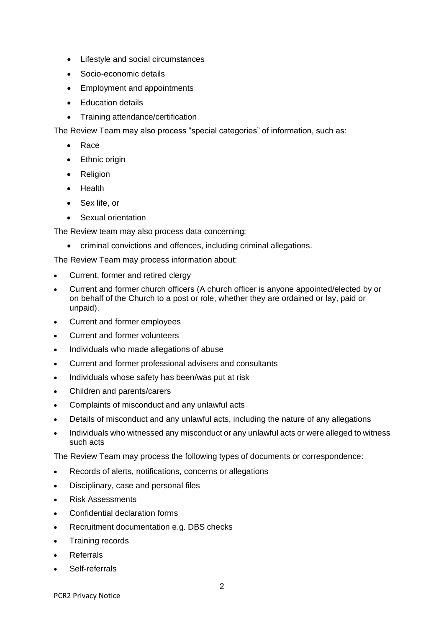- Lifestyle and social circumstances
- Socio-economic details
- Employment and appointments
- Education details
- Training attendance/certification

The Review Team may also process "special categories" of information, such as:

- Race
- Ethnic origin
- Religion
- Health
- Sex life, or
- Sexual orientation

The Review team may also process data concerning:

• criminal convictions and offences, including criminal allegations.

The Review Team may process information about:

- Current, former and retired clergy
- Current and former church officers (A church officer is anyone appointed/elected by or on behalf of the Church to a post or role, whether they are ordained or lay, paid or unpaid).
- Current and former employees
- Current and former volunteers
- Individuals who made allegations of abuse
- Current and former professional advisers and consultants
- Individuals whose safety has been/was put at risk
- Children and parents/carers
- Complaints of misconduct and any unlawful acts
- Details of misconduct and any unlawful acts, including the nature of any allegations
- Individuals who witnessed any misconduct or any unlawful acts or were alleged to witness such acts

The Review Team may process the following types of documents or correspondence:

- Records of alerts, notifications, concerns or allegations
- Disciplinary, case and personal files
- Risk Assessments
- Confidential declaration forms
- Recruitment documentation e.g. DBS checks
- Training records
- Referrals
- Self-referrals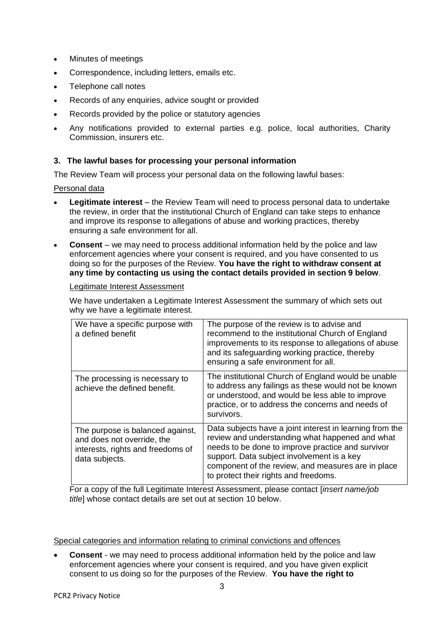- Minutes of meetings
- Correspondence, including letters, emails etc.
- Telephone call notes
- Records of any enquiries, advice sought or provided
- Records provided by the police or statutory agencies
- Any notifications provided to external parties e.g. police, local authorities, Charity Commission, insurers etc.

# **3. The lawful bases for processing your personal information**

The Review Team will process your personal data on the following lawful bases:

### Personal data

- **Legitimate interest** the Review Team will need to process personal data to undertake the review, in order that the institutional Church of England can take steps to enhance and improve its response to allegations of abuse and working practices, thereby ensuring a safe environment for all.
- **Consent** we may need to process additional information held by the police and law enforcement agencies where your consent is required, and you have consented to us doing so for the purposes of the Review. **You have the right to withdraw consent at any time by contacting us using the contact details provided in section 9 below**.

# Legitimate Interest Assessment

We have undertaken a Legitimate Interest Assessment the summary of which sets out why we have a legitimate interest.

| We have a specific purpose with<br>a defined benefit                                                                  | The purpose of the review is to advise and<br>recommend to the institutional Church of England<br>improvements to its response to allegations of abuse<br>and its safeguarding working practice, thereby<br>ensuring a safe environment for all.                                                              |
|-----------------------------------------------------------------------------------------------------------------------|---------------------------------------------------------------------------------------------------------------------------------------------------------------------------------------------------------------------------------------------------------------------------------------------------------------|
| The processing is necessary to<br>achieve the defined benefit.                                                        | The institutional Church of England would be unable<br>to address any failings as these would not be known<br>or understood, and would be less able to improve<br>practice, or to address the concerns and needs of<br>survivors.                                                                             |
| The purpose is balanced against,<br>and does not override, the<br>interests, rights and freedoms of<br>data subjects. | Data subjects have a joint interest in learning from the<br>review and understanding what happened and what<br>needs to be done to improve practice and survivor<br>support. Data subject involvement is a key<br>component of the review, and measures are in place<br>to protect their rights and freedoms. |

For a copy of the full Legitimate Interest Assessment, please contact [*insert name/job title*] whose contact details are set out at section 10 below.

Special categories and information relating to criminal convictions and offences

• **Consent** - we may need to process additional information held by the police and law enforcement agencies where your consent is required, and you have given explicit consent to us doing so for the purposes of the Review. **You have the right to**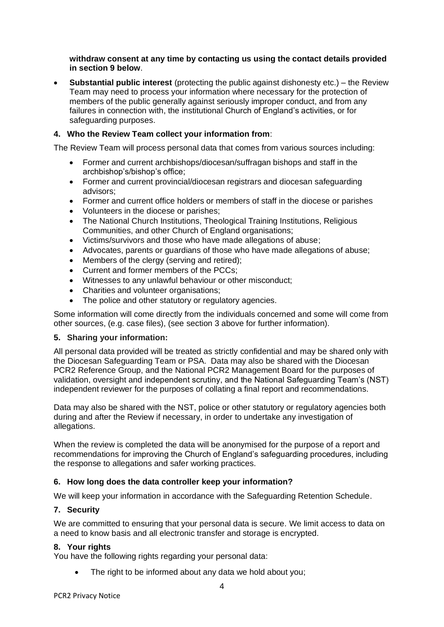# **withdraw consent at any time by contacting us using the contact details provided in section 9 below**.

• **Substantial public interest** (protecting the public against dishonesty etc.) – the Review Team may need to process your information where necessary for the protection of members of the public generally against seriously improper conduct, and from any failures in connection with, the institutional Church of England's activities, or for safeguarding purposes.

# **4. Who the Review Team collect your information from**:

The Review Team will process personal data that comes from various sources including:

- Former and current archbishops/diocesan/suffragan bishops and staff in the archbishop's/bishop's office;
- Former and current provincial/diocesan registrars and diocesan safeguarding advisors;
- Former and current office holders or members of staff in the diocese or parishes
- Volunteers in the diocese or parishes;
- The National Church Institutions, Theological Training Institutions, Religious Communities, and other Church of England organisations;
- Victims/survivors and those who have made allegations of abuse;
- Advocates, parents or guardians of those who have made allegations of abuse;
- Members of the clergy (serving and retired);
- Current and former members of the PCCs;
- Witnesses to any unlawful behaviour or other misconduct;
- Charities and volunteer organisations;
- The police and other statutory or regulatory agencies.

Some information will come directly from the individuals concerned and some will come from other sources, (e.g. case files), (see section 3 above for further information).

# **5. Sharing your information:**

All personal data provided will be treated as strictly confidential and may be shared only with the Diocesan Safeguarding Team or PSA. Data may also be shared with the Diocesan PCR2 Reference Group, and the National PCR2 Management Board for the purposes of validation, oversight and independent scrutiny, and the National Safeguarding Team's (NST) independent reviewer for the purposes of collating a final report and recommendations.

Data may also be shared with the NST, police or other statutory or regulatory agencies both during and after the Review if necessary, in order to undertake any investigation of allegations.

When the review is completed the data will be anonymised for the purpose of a report and recommendations for improving the Church of England's safeguarding procedures, including the response to allegations and safer working practices.

# **6. How long does the data controller keep your information?**

We will keep your information in accordance with the Safeguarding Retention Schedule.

# **7. Security**

We are committed to ensuring that your personal data is secure. We limit access to data on a need to know basis and all electronic transfer and storage is encrypted.

# **8. Your rights**

You have the following rights regarding your personal data:

The right to be informed about any data we hold about you;